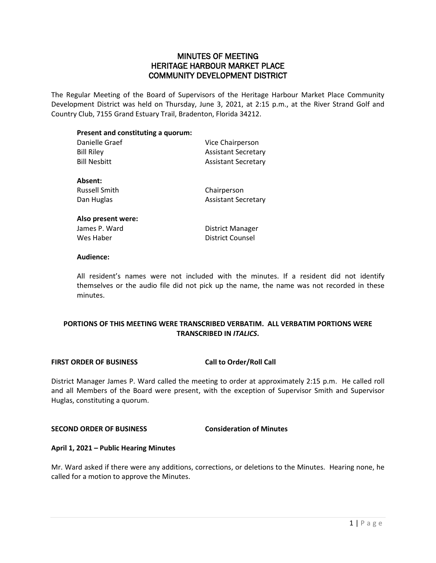## MINUTES OF MEETING HERITAGE HARBOUR MARKET PLACE COMMUNITY DEVELOPMENT DISTRICT

The Regular Meeting of the Board of Supervisors of the Heritage Harbour Market Place Community Development District was held on Thursday, June 3, 2021, at 2:15 p.m., at the River Strand Golf and Country Club, 7155 Grand Estuary Trail, Bradenton, Florida 34212.

| Present and constituting a quorum: |                            |
|------------------------------------|----------------------------|
| Danielle Graef                     | Vice Chairperson           |
| <b>Bill Riley</b>                  | <b>Assistant Secretary</b> |
| <b>Bill Nesbitt</b>                | <b>Assistant Secretary</b> |
| Absent:                            |                            |
| <b>Russell Smith</b>               | Chairperson                |
| Dan Huglas                         | <b>Assistant Secretary</b> |
| Also present were:                 |                            |
| James P. Ward                      | District Manager           |
| Wes Haber                          | District Counsel           |

#### **Audience:**

All resident's names were not included with the minutes. If a resident did not identify themselves or the audio file did not pick up the name, the name was not recorded in these minutes.

### **PORTIONS OF THIS MEETING WERE TRANSCRIBED VERBATIM. ALL VERBATIM PORTIONS WERE TRANSCRIBED IN** *ITALICS***.**

#### **FIRST ORDER OF BUSINESS Call to Order/Roll Call**

District Manager James P. Ward called the meeting to order at approximately 2:15 p.m. He called roll and all Members of the Board were present, with the exception of Supervisor Smith and Supervisor Huglas, constituting a quorum.

#### **SECOND ORDER OF BUSINESS Consideration of Minutes**

#### **April 1, 2021 – Public Hearing Minutes**

Mr. Ward asked if there were any additions, corrections, or deletions to the Minutes. Hearing none, he called for a motion to approve the Minutes.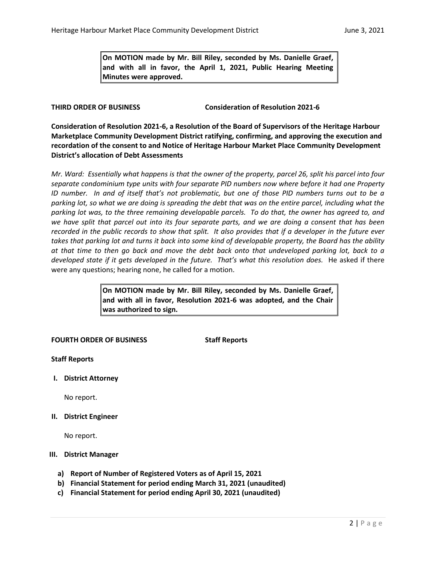**On MOTION made by Mr. Bill Riley, seconded by Ms. Danielle Graef, and with all in favor, the April 1, 2021, Public Hearing Meeting Minutes were approved.** 

**THIRD ORDER OF BUSINESS Consideration of Resolution 2021-6**

**Consideration of Resolution 2021-6, a Resolution of the Board of Supervisors of the Heritage Harbour Marketplace Community Development District ratifying, confirming, and approving the execution and recordation of the consent to and Notice of Heritage Harbour Market Place Community Development District's allocation of Debt Assessments**

*Mr. Ward: Essentially what happens is that the owner of the property, parcel 26, split his parcel into four separate condominium type units with four separate PID numbers now where before it had one Property ID number. In and of itself that's not problematic, but one of those PID numbers turns out to be a parking lot, so what we are doing is spreading the debt that was on the entire parcel, including what the parking lot was, to the three remaining developable parcels. To do that, the owner has agreed to, and we have split that parcel out into its four separate parts, and we are doing a consent that has been recorded in the public records to show that split. It also provides that if a developer in the future ever takes that parking lot and turns it back into some kind of developable property, the Board has the ability at that time to then go back and move the debt back onto that undeveloped parking lot, back to a developed state if it gets developed in the future. That's what this resolution does.* He asked if there were any questions; hearing none, he called for a motion.

> **On MOTION made by Mr. Bill Riley, seconded by Ms. Danielle Graef, and with all in favor, Resolution 2021-6 was adopted, and the Chair was authorized to sign.**

#### **FOURTH ORDER OF BUSINESS Staff Reports**

#### **Staff Reports**

**I. District Attorney**

No report.

**II. District Engineer**

No report.

#### **III. District Manager**

- **a) Report of Number of Registered Voters as of April 15, 2021**
- **b) Financial Statement for period ending March 31, 2021 (unaudited)**
- **c) Financial Statement for period ending April 30, 2021 (unaudited)**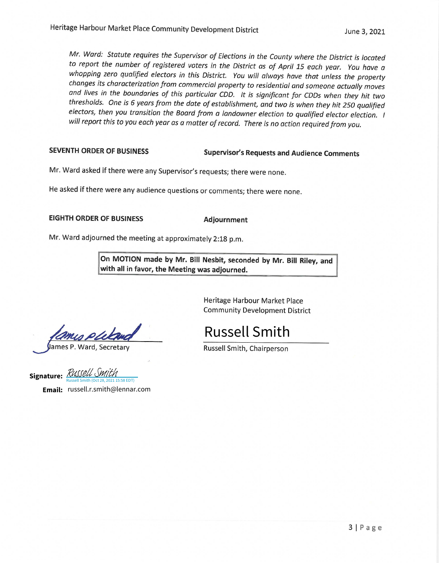Mr. Ward: Statute requires the Supervisor of Elections in the County where the District is located to report the number of registered voters in the District as of April 15 each year. You have a whopping zero qualified electors in this District. You will always have that unless the property changes its characterization from commercial property to residential and someone actually moves and lives in the boundaries of this particular CDD. It is significant for CDDs when they hit two thresholds. One is 6 years from the date of establishment, and two is when they hit 250 qualified electors, then you transition the Board from a landowner election to qualified elector election. I will report this to you each year as a matter of record. There is no action required from you.

#### **SEVENTH ORDER OF BUSINESS**

#### **Supervisor's Requests and Audience Comments**

Mr. Ward asked if there were any Supervisor's requests; there were none.

He asked if there were any audience questions or comments; there were none.

### **EIGHTH ORDER OF BUSINESS**

Adjournment

Mr. Ward adjourned the meeting at approximately 2:18 p.m.

On MOTION made by Mr. Bill Nesbit, seconded by Mr. Bill Riley, and with all in favor, the Meeting was adjourned.

> Heritage Harbour Market Place **Community Development District**

**Russell Smith** 

Russell Smith, Chairperson

ames P. Ward, Secretary

Signature: RUSSELL SMIL  $5:58$  EDT)

Email: russell.r.smith@lennar.com